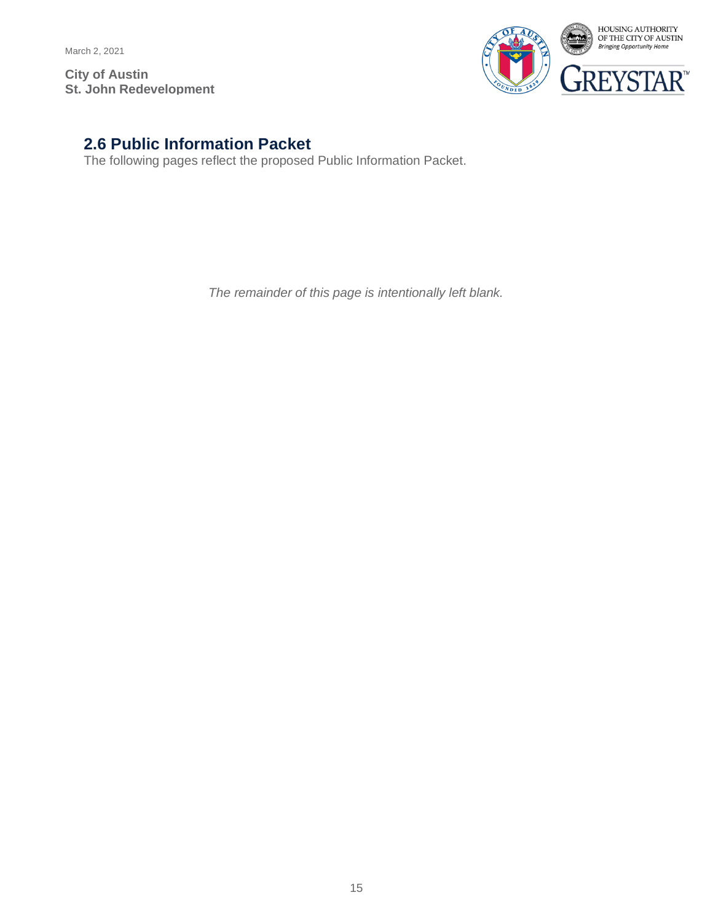March 2, 2021

**City of Austin St. John Redevelopment**



## **2.6 Public Information Packet**

The following pages reflect the proposed Public Information Packet.

*The remainder of this page is intentionally left blank.*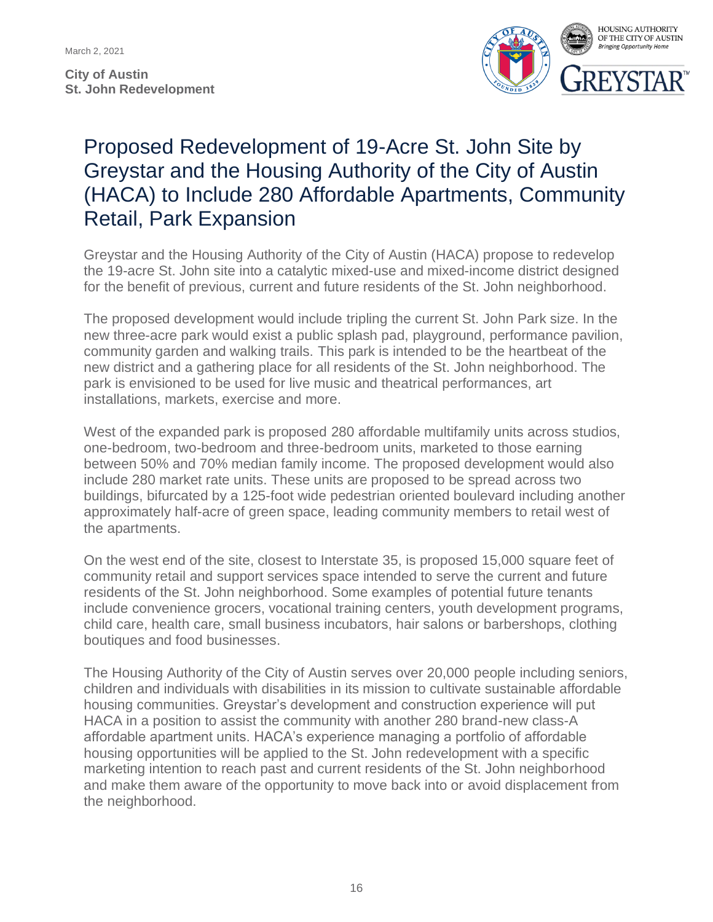March 2, 2021

**City of Austin St. John Redevelopment**



## Proposed Redevelopment of 19-Acre St. John Site by Greystar and the Housing Authority of the City of Austin (HACA) to Include 280 Affordable Apartments, Community Retail, Park Expansion

Greystar and the Housing Authority of the City of Austin (HACA) propose to redevelop the 19-acre St. John site into a catalytic mixed-use and mixed-income district designed for the benefit of previous, current and future residents of the St. John neighborhood.

The proposed development would include tripling the current St. John Park size. In the new three-acre park would exist a public splash pad, playground, performance pavilion, community garden and walking trails. This park is intended to be the heartbeat of the new district and a gathering place for all residents of the St. John neighborhood. The park is envisioned to be used for live music and theatrical performances, art installations, markets, exercise and more.

West of the expanded park is proposed 280 affordable multifamily units across studios, one-bedroom, two-bedroom and three-bedroom units, marketed to those earning between 50% and 70% median family income. The proposed development would also include 280 market rate units. These units are proposed to be spread across two buildings, bifurcated by a 125-foot wide pedestrian oriented boulevard including another approximately half-acre of green space, leading community members to retail west of the apartments.

On the west end of the site, closest to Interstate 35, is proposed 15,000 square feet of community retail and support services space intended to serve the current and future residents of the St. John neighborhood. Some examples of potential future tenants include convenience grocers, vocational training centers, youth development programs, child care, health care, small business incubators, hair salons or barbershops, clothing boutiques and food businesses.

The Housing Authority of the City of Austin serves over 20,000 people including seniors, children and individuals with disabilities in its mission to cultivate sustainable affordable housing communities. Greystar's development and construction experience will put HACA in a position to assist the community with another 280 brand-new class-A affordable apartment units. HACA's experience managing a portfolio of affordable housing opportunities will be applied to the St. John redevelopment with a specific marketing intention to reach past and current residents of the St. John neighborhood and make them aware of the opportunity to move back into or avoid displacement from the neighborhood.